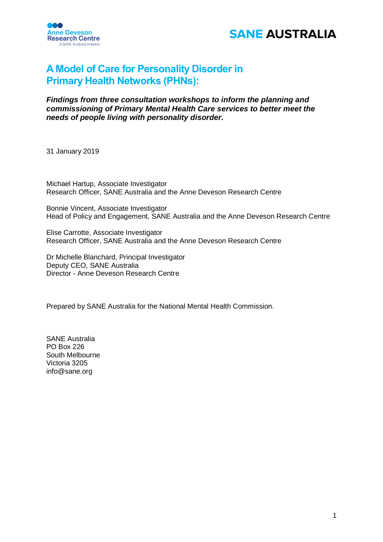



## **A Model of Care for Personality Disorder in Primary Health Networks (PHNs):**

*Findings from three consultation workshops to inform the planning and commissioning of Primary Mental Health Care services to better meet the needs of people living with personality disorder.*

31 January 2019

Michael Hartup, Associate Investigator Research Officer, SANE Australia and the Anne Deveson Research Centre

Bonnie Vincent, Associate Investigator Head of Policy and Engagement, SANE Australia and the Anne Deveson Research Centre

Elise Carrotte, Associate Investigator Research Officer, SANE Australia and the Anne Deveson Research Centre

Dr Michelle Blanchard, Principal Investigator Deputy CEO, SANE Australia Director - Anne Deveson Research Centre

Prepared by SANE Australia for the National Mental Health Commission.

SANE Australia PO Box 226 South Melbourne Victoria 3205 info@sane.org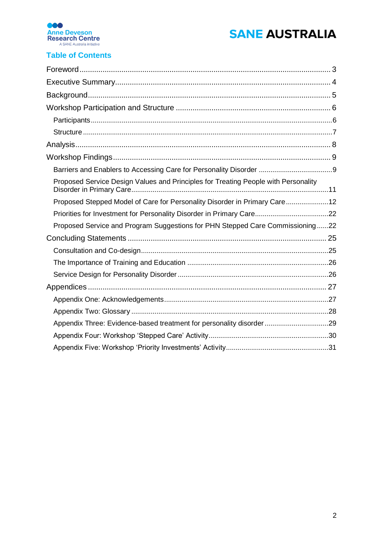



## **Table of Contents**

| Proposed Service Design Values and Principles for Treating People with Personality |  |
|------------------------------------------------------------------------------------|--|
| Proposed Stepped Model of Care for Personality Disorder in Primary Care12          |  |
|                                                                                    |  |
| Proposed Service and Program Suggestions for PHN Stepped Care Commissioning22      |  |
|                                                                                    |  |
|                                                                                    |  |
|                                                                                    |  |
|                                                                                    |  |
|                                                                                    |  |
|                                                                                    |  |
|                                                                                    |  |
| Appendix Three: Evidence-based treatment for personality disorder29                |  |
|                                                                                    |  |
|                                                                                    |  |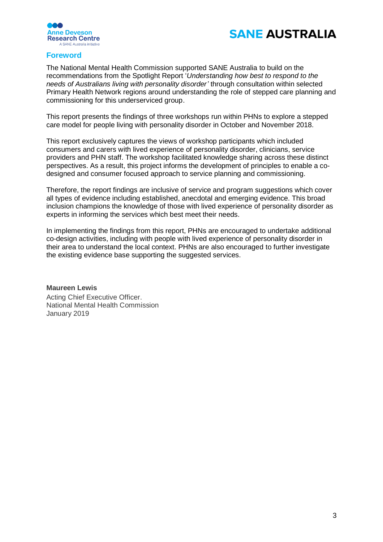



## <span id="page-2-0"></span>**Foreword**

The National Mental Health Commission supported SANE Australia to build on the recommendations from the Spotlight Report '*Understanding how best to respond to the needs of Australians living with personality disorder'* through consultation within selected Primary Health Network regions around understanding the role of stepped care planning and commissioning for this underserviced group.

This report presents the findings of three workshops run within PHNs to explore a stepped care model for people living with personality disorder in October and November 2018.

This report exclusively captures the views of workshop participants which included consumers and carers with lived experience of personality disorder, clinicians, service providers and PHN staff. The workshop facilitated knowledge sharing across these distinct perspectives. As a result, this project informs the development of principles to enable a codesigned and consumer focused approach to service planning and commissioning.

Therefore, the report findings are inclusive of service and program suggestions which cover all types of evidence including established, anecdotal and emerging evidence. This broad inclusion champions the knowledge of those with lived experience of personality disorder as experts in informing the services which best meet their needs.

In implementing the findings from this report, PHNs are encouraged to undertake additional co-design activities, including with people with lived experience of personality disorder in their area to understand the local context. PHNs are also encouraged to further investigate the existing evidence base supporting the suggested services.

### **Maureen Lewis**

Acting Chief Executive Officer. National Mental Health Commission January 2019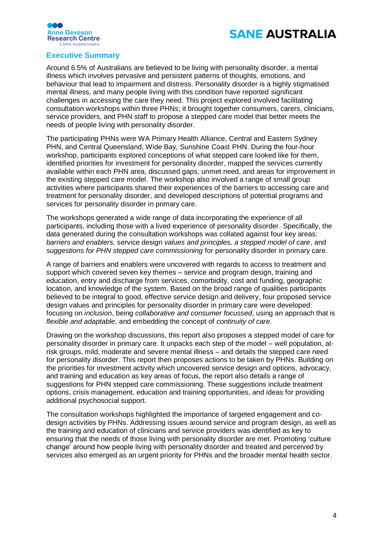



### <span id="page-3-0"></span>**Executive Summary**

Around 6.5% of Australians are believed to be living with personality disorder, a mental illness which involves pervasive and persistent patterns of thoughts, emotions, and behaviour that lead to impairment and distress. Personality disorder is a highly stigmatised mental illness, and many people living with this condition have reported significant challenges in accessing the care they need. This project explored involved facilitating consultation workshops within three PHNs; it brought together consumers, carers, clinicians, service providers, and PHN staff to propose a stepped care model that better meets the needs of people living with personality disorder.

The participating PHNs were WA Primary Health Alliance, Central and Eastern Sydney PHN, and Central Queensland, Wide Bay, Sunshine Coast PHN. During the four-hour workshop, participants explored conceptions of what stepped care looked like for them, identified priorities for investment for personality disorder, mapped the services currently available within each PHN area, discussed gaps, unmet need, and areas for improvement in the existing stepped care model. The workshop also involved a range of small group activities where participants shared their experiences of the barriers to accessing care and treatment for personality disorder, and developed descriptions of potential programs and services for personality disorder in primary care.

The workshops generated a wide range of data incorporating the experience of all participants, including those with a lived experience of personality disorder. Specifically, the data generated during the consultation workshops was collated against four key areas: *barriers and enablers,* service design *values and principles, a stepped model of care*, and *suggestions for PHN stepped care commissioning* for personality disorder in primary care.

A range of barriers and enablers were uncovered with regards to access to treatment and support which covered seven key themes – service and program design, training and education, entry and discharge from services, comorbidity, cost and funding, geographic location, and knowledge of the system. Based on the broad range of qualities participants believed to be integral to good, effective service design and delivery, four proposed service design values and principles for personality disorder in primary care were developed: focusing on *inclusion*, being *collaborative and consumer focussed*, using an approach that is *flexible and adaptable*, and embedding the concept of *continuity of care.*

Drawing on the workshop discussions, this report also proposes a stepped model of care for personality disorder in primary care. It unpacks each step of the model – well population, atrisk groups, mild, moderate and severe mental illness – and details the stepped care need for personality disorder. This report then proposes actions to be taken by PHNs. Building on the priorities for investment activity which uncovered service design and options, advocacy, and training and education as key areas of focus, the report also details a range of suggestions for PHN stepped care commissioning. These suggestions include treatment options, crisis management, education and training opportunities, and ideas for providing additional psychosocial support.

The consultation workshops highlighted the importance of targeted engagement and codesign activities by PHNs. Addressing issues around service and program design, as well as the training and education of clinicians and service providers was identified as key to ensuring that the needs of those living with personality disorder are met. Promoting 'culture change' around how people living with personality disorder and treated and perceived by services also emerged as an urgent priority for PHNs and the broader mental health sector.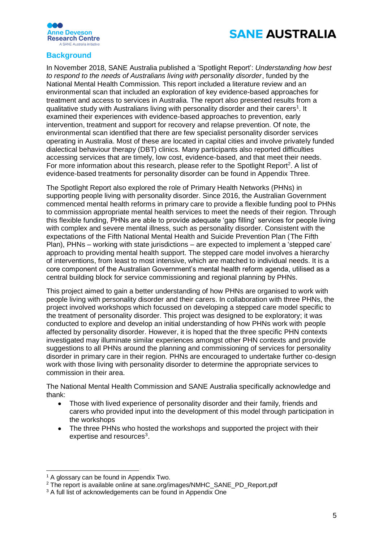



## <span id="page-4-0"></span>**Background**

In November 2018, SANE Australia published a 'Spotlight Report': *Understanding how best to respond to the needs of Australians living with personality disorder*, funded by the National Mental Health Commission. This report included a literature review and an environmental scan that included an exploration of key evidence-based approaches for treatment and access to services in Australia. The report also presented results from a qualitative study with Australians living with personality disorder and their carers<sup>1</sup>. It examined their experiences with evidence-based approaches to prevention, early intervention, treatment and support for recovery and relapse prevention. Of note, the environmental scan identified that there are few specialist personality disorder services operating in Australia. Most of these are located in capital cities and involve privately funded dialectical behaviour therapy (DBT) clinics. Many participants also reported difficulties accessing services that are timely, low cost, evidence-based, and that meet their needs. For more information about this research, please refer to the Spotlight Report<sup>2</sup>. A list of evidence-based treatments for personality disorder can be found in Appendix Three.

The Spotlight Report also explored the role of Primary Health Networks (PHNs) in supporting people living with personality disorder. Since 2016, the Australian Government commenced mental health reforms in primary care to provide a flexible funding pool to PHNs to commission appropriate mental health services to meet the needs of their region. Through this flexible funding, PHNs are able to provide adequate 'gap filling' services for people living with complex and severe mental illness, such as personality disorder. Consistent with the expectations of the Fifth National Mental Health and Suicide Prevention Plan (The Fifth Plan), PHNs – working with state jurisdictions – are expected to implement a 'stepped care' approach to providing mental health support. The stepped care model involves a hierarchy of interventions, from least to most intensive, which are matched to individual needs. It is a core component of the Australian Government's mental health reform agenda, utilised as a central building block for service commissioning and regional planning by PHNs.

This project aimed to gain a better understanding of how PHNs are organised to work with people living with personality disorder and their carers. In collaboration with three PHNs, the project involved workshops which focussed on developing a stepped care model specific to the treatment of personality disorder. This project was designed to be exploratory; it was conducted to explore and develop an initial understanding of how PHNs work with people affected by personality disorder. However, it is hoped that the three specific PHN contexts investigated may illuminate similar experiences amongst other PHN contexts and provide suggestions to all PHNs around the planning and commissioning of services for personality disorder in primary care in their region. PHNs are encouraged to undertake further co-design work with those living with personality disorder to determine the appropriate services to commission in their area.

The National Mental Health Commission and SANE Australia specifically acknowledge and thank:

- Those with lived experience of personality disorder and their family, friends and carers who provided input into the development of this model through participation in the workshops
- The three PHNs who hosted the workshops and supported the project with their expertise and resources<sup>3</sup>.

 $\overline{a}$ 

<sup>&</sup>lt;sup>1</sup> A glossary can be found in Appendix Two.

<sup>&</sup>lt;sup>2</sup> The report is available online at sane.org/images/NMHC\_SANE\_PD\_Report.pdf

<sup>&</sup>lt;sup>3</sup> A full list of acknowledgements can be found in Appendix One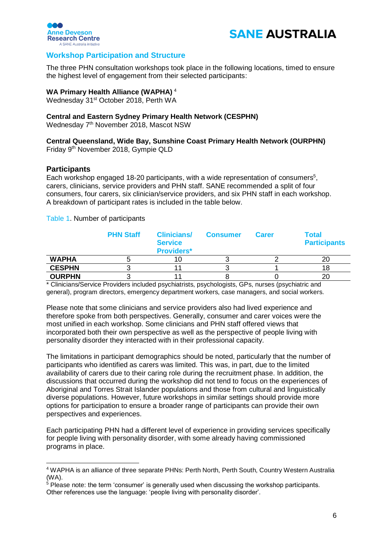



## <span id="page-5-0"></span>**Workshop Participation and Structure**

The three PHN consultation workshops took place in the following locations, timed to ensure the highest level of engagement from their selected participants:

#### **WA Primary Health Alliance (WAPHA)** <sup>4</sup>

Wednesday 31<sup>st</sup> October 2018, Perth WA

## **Central and Eastern Sydney Primary Health Network (CESPHN)**

Wednesday 7th November 2018, Mascot NSW

## **Central Queensland, Wide Bay, Sunshine Coast Primary Health Network (OURPHN)**

Friday 9th November 2018, Gympie QLD

### <span id="page-5-1"></span>**Participants**

Each workshop engaged 18-20 participants, with a wide representation of consumers<sup>5</sup>, carers, clinicians, service providers and PHN staff. SANE recommended a split of four consumers, four carers, six clinician/service providers, and six PHN staff in each workshop. A breakdown of participant rates is included in the table below.

Table 1. Number of participants

|               | <b>PHN Staff</b> | <b>Clinicians/</b><br><b>Service</b><br><b>Providers*</b> | <b>Consumer</b> | <b>Carer</b> | <b>Total</b><br><b>Participants</b> |
|---------------|------------------|-----------------------------------------------------------|-----------------|--------------|-------------------------------------|
| <b>WAPHA</b>  |                  |                                                           |                 |              | 20                                  |
| <b>CESPHN</b> |                  |                                                           |                 |              | 18                                  |
| <b>OURPHN</b> |                  |                                                           |                 |              | 20                                  |

\* Clinicians/Service Providers included psychiatrists, psychologists, GPs, nurses (psychiatric and general), program directors, emergency department workers, case managers, and social workers.

Please note that some clinicians and service providers also had lived experience and therefore spoke from both perspectives. Generally, consumer and carer voices were the most unified in each workshop. Some clinicians and PHN staff offered views that incorporated both their own perspective as well as the perspective of people living with personality disorder they interacted with in their professional capacity.

The limitations in participant demographics should be noted, particularly that the number of participants who identified as carers was limited. This was, in part, due to the limited availability of carers due to their caring role during the recruitment phase. In addition, the discussions that occurred during the workshop did not tend to focus on the experiences of Aboriginal and Torres Strait Islander populations and those from cultural and linguistically diverse populations. However, future workshops in similar settings should provide more options for participation to ensure a broader range of participants can provide their own perspectives and experiences.

Each participating PHN had a different level of experience in providing services specifically for people living with personality disorder, with some already having commissioned programs in place.

<sup>4</sup> WAPHA is an alliance of three separate PHNs: Perth North, Perth South, Country Western Australia (WA).

<sup>5</sup> Please note: the term 'consumer' is generally used when discussing the workshop participants. Other references use the language: 'people living with personality disorder'.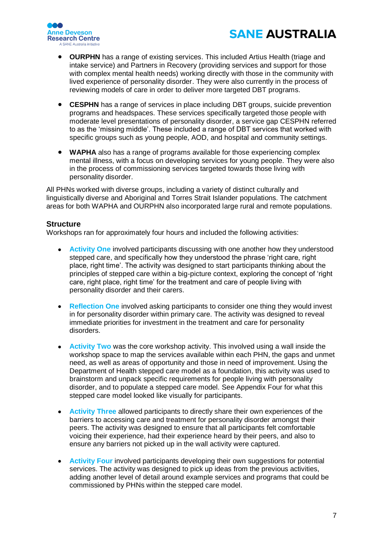



- **OURPHN** has a range of existing services. This included Artius Health (triage and intake service) and Partners in Recovery (providing services and support for those with complex mental health needs) working directly with those in the community with lived experience of personality disorder. They were also currently in the process of reviewing models of care in order to deliver more targeted DBT programs.
- **CESPHN** has a range of services in place including DBT groups, suicide prevention programs and headspaces. These services specifically targeted those people with moderate level presentations of personality disorder, a service gap CESPHN referred to as the 'missing middle'. These included a range of DBT services that worked with specific groups such as young people, AOD, and hospital and community settings.
- **WAPHA** also has a range of programs available for those experiencing complex mental illness, with a focus on developing services for young people. They were also in the process of commissioning services targeted towards those living with personality disorder.

All PHNs worked with diverse groups, including a variety of distinct culturally and linguistically diverse and Aboriginal and Torres Strait Islander populations. The catchment areas for both WAPHA and OURPHN also incorporated large rural and remote populations.

## <span id="page-6-0"></span>**Structure**

Workshops ran for approximately four hours and included the following activities:

- **Activity One** involved participants discussing with one another how they understood stepped care, and specifically how they understood the phrase 'right care, right place, right time'. The activity was designed to start participants thinking about the principles of stepped care within a big-picture context, exploring the concept of 'right care, right place, right time' for the treatment and care of people living with personality disorder and their carers.
- **Reflection One** involved asking participants to consider one thing they would invest in for personality disorder within primary care. The activity was designed to reveal immediate priorities for investment in the treatment and care for personality disorders.
- **Activity Two** was the core workshop activity. This involved using a wall inside the workshop space to map the services available within each PHN, the gaps and unmet need, as well as areas of opportunity and those in need of improvement. Using the Department of Health stepped care model as a foundation, this activity was used to brainstorm and unpack specific requirements for people living with personality disorder, and to populate a stepped care model. See Appendix Four for what this stepped care model looked like visually for participants.
- **Activity Three** allowed participants to directly share their own experiences of the barriers to accessing care and treatment for personality disorder amongst their peers. The activity was designed to ensure that all participants felt comfortable voicing their experience, had their experience heard by their peers, and also to ensure any barriers not picked up in the wall activity were captured.
- **Activity Four** involved participants developing their own suggestions for potential services. The activity was designed to pick up ideas from the previous activities, adding another level of detail around example services and programs that could be commissioned by PHNs within the stepped care model.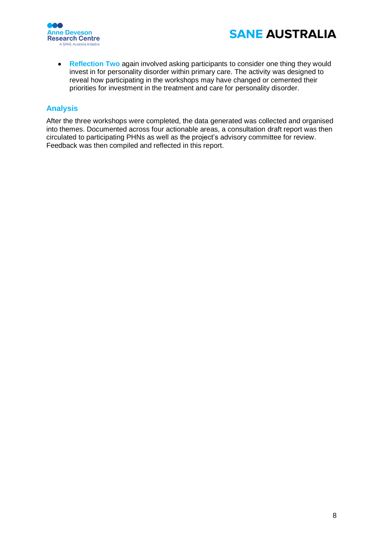



• **Reflection Two** again involved asking participants to consider one thing they would invest in for personality disorder within primary care. The activity was designed to reveal how participating in the workshops may have changed or cemented their priorities for investment in the treatment and care for personality disorder.

## <span id="page-7-0"></span>**Analysis**

After the three workshops were completed, the data generated was collected and organised into themes. Documented across four actionable areas, a consultation draft report was then circulated to participating PHNs as well as the project's advisory committee for review. Feedback was then compiled and reflected in this report.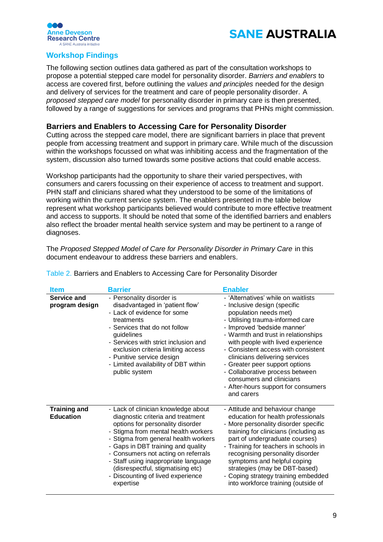



## <span id="page-8-0"></span>**Workshop Findings**

The following section outlines data gathered as part of the consultation workshops to propose a potential stepped care model for personality disorder. *Barriers and enablers* to access are covered first, before outlining the *values and principles* needed for the design and delivery of services for the treatment and care of people personality disorder. A *proposed stepped care model* for personality disorder in primary care is then presented, followed by a range of suggestions for services and programs that PHNs might commission.

## <span id="page-8-1"></span>**Barriers and Enablers to Accessing Care for Personality Disorder**

Cutting across the stepped care model, there are significant barriers in place that prevent people from accessing treatment and support in primary care. While much of the discussion within the workshops focussed on what was inhibiting access and the fragmentation of the system, discussion also turned towards some positive actions that could enable access.

Workshop participants had the opportunity to share their varied perspectives, with consumers and carers focussing on their experience of access to treatment and support. PHN staff and clinicians shared what they understood to be some of the limitations of working within the current service system. The enablers presented in the table below represent what workshop participants believed would contribute to more effective treatment and access to supports. It should be noted that some of the identified barriers and enablers also reflect the broader mental health service system and may be pertinent to a range of diagnoses.

The *Proposed Stepped Model of Care for Personality Disorder in Primary Care* in this document endeavour to address these barriers and enablers.

| <b>Item</b>                             | <b>Barrier</b>                                                                                                                                                                                                                                                                                                                                                                                          | <b>Enabler</b>                                                                                                                                                                                                                                                                                                                                                                                                                                                             |
|-----------------------------------------|---------------------------------------------------------------------------------------------------------------------------------------------------------------------------------------------------------------------------------------------------------------------------------------------------------------------------------------------------------------------------------------------------------|----------------------------------------------------------------------------------------------------------------------------------------------------------------------------------------------------------------------------------------------------------------------------------------------------------------------------------------------------------------------------------------------------------------------------------------------------------------------------|
| Service and<br>program design           | - Personality disorder is<br>disadvantaged in 'patient flow'<br>- Lack of evidence for some<br>treatments<br>- Services that do not follow<br>guidelines<br>- Services with strict inclusion and<br>exclusion criteria limiting access<br>- Punitive service design<br>- Limited availability of DBT within<br>public system                                                                            | - 'Alternatives' while on waitlists<br>- Inclusive design (specific<br>population needs met)<br>- Utilising trauma-informed care<br>- Improved 'bedside manner'<br>- Warmth and trust in relationships<br>with people with lived experience<br>- Consistent access with consistent<br>clinicians delivering services<br>- Greater peer support options<br>- Collaborative process between<br>consumers and clinicians<br>- After-hours support for consumers<br>and carers |
| <b>Training and</b><br><b>Education</b> | - Lack of clinician knowledge about<br>diagnostic criteria and treatment<br>options for personality disorder<br>- Stigma from mental health workers<br>- Stigma from general health workers<br>- Gaps in DBT training and quality<br>- Consumers not acting on referrals<br>- Staff using inappropriate language<br>(disrespectful, stigmatising etc)<br>- Discounting of lived experience<br>expertise | - Attitude and behaviour change<br>education for health professionals<br>- More personality disorder specific<br>training for clinicians (including as<br>part of undergraduate courses)<br>- Training for teachers in schools in<br>recognising personality disorder<br>symptoms and helpful coping<br>strategies (may be DBT-based)<br>- Coping strategy training embedded<br>into workforce training (outside of                                                        |

Table 2. Barriers and Enablers to Accessing Care for Personality Disorder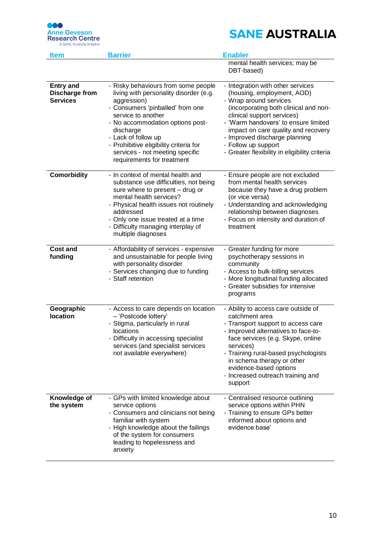

| <b>Item</b>                                                  | <b>Barrier</b>                                                                                                                                                                                                                                                                                                                            | <b>Enabler</b>                                                                                                                                                                                                                                                                                                                                           |
|--------------------------------------------------------------|-------------------------------------------------------------------------------------------------------------------------------------------------------------------------------------------------------------------------------------------------------------------------------------------------------------------------------------------|----------------------------------------------------------------------------------------------------------------------------------------------------------------------------------------------------------------------------------------------------------------------------------------------------------------------------------------------------------|
|                                                              |                                                                                                                                                                                                                                                                                                                                           | mental health services; may be<br>DBT-based)                                                                                                                                                                                                                                                                                                             |
| <b>Entry and</b><br><b>Discharge from</b><br><b>Services</b> | - Risky behaviours from some people<br>living with personality disorder (e.g.<br>aggression)<br>- Consumers 'pinballed' from one<br>service to another<br>- No accommodation options post-<br>discharge<br>- Lack of follow up<br>- Prohibitive eligibility criteria for<br>services - not meeting specific<br>requirements for treatment | - Integration with other services<br>(housing, employment, AOD)<br>- Wrap around services<br>(incorporating both clinical and non-<br>clinical support services)<br>- 'Warm handovers' to ensure limited<br>impact on care quality and recovery<br>- Improved discharge planning<br>- Follow up support<br>- Greater flexibility in eligibility criteria |
| <b>Comorbidity</b>                                           | - In context of mental health and<br>substance use difficulties, not being<br>sure where to present - drug or<br>mental health services?<br>- Physical health issues not routinely<br>addressed<br>- Only one issue treated at a time<br>- Difficulty managing interplay of<br>multiple diagnoses                                         | - Ensure people are not excluded<br>from mental health services<br>because they have a drug problem<br>(or vice versa)<br>- Understanding and acknowledging<br>relationship between diagnoses<br>- Focus on intensity and duration of<br>treatment                                                                                                       |
| <b>Cost and</b><br>funding                                   | - Affordability of services - expensive<br>and unsustainable for people living<br>with personality disorder<br>- Services changing due to funding<br>- Staff retention                                                                                                                                                                    | - Greater funding for more<br>psychotherapy sessions in<br>community<br>- Access to bulk-billing services<br>- More longitudinal funding allocated<br>- Greater subsidies for intensive<br>programs                                                                                                                                                      |
| Geographic<br>location                                       | - Access to care depends on location<br>- 'Postcode lottery'<br>- Stigma, particularly in rural<br>locations<br>Difficulty in accessing specialist<br>services (and specialist services<br>not available everywhere)                                                                                                                      | - Ability to access care outside of<br>catchment area<br>- Transport support to access care<br>- Improved alternatives to face-to-<br>face services (e.g. Skype, online<br>services)<br>- Training rural-based psychologists<br>in schema therapy or other<br>evidence-based options<br>- Increased outreach training and<br>support                     |
| Knowledge of<br>the system                                   | - GPs with limited knowledge about<br>service options<br>- Consumers and clinicians not being<br>familiar with system<br>- High knowledge about the failings<br>of the system for consumers<br>leading to hopelessness and<br>anxiety                                                                                                     | - Centralised resource outlining<br>service options within PHN<br>- Training to ensure GPs better<br>informed about options and<br>evidence base'                                                                                                                                                                                                        |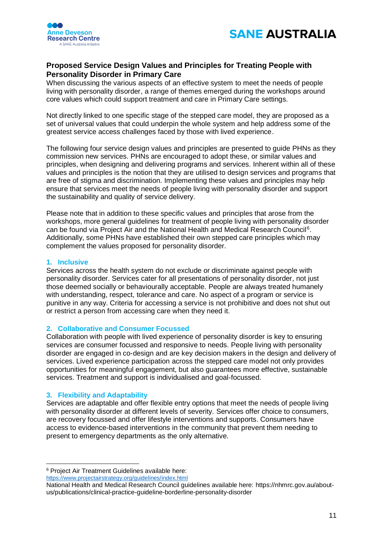



## <span id="page-10-0"></span>**Proposed Service Design Values and Principles for Treating People with Personality Disorder in Primary Care**

When discussing the various aspects of an effective system to meet the needs of people living with personality disorder, a range of themes emerged during the workshops around core values which could support treatment and care in Primary Care settings.

Not directly linked to one specific stage of the stepped care model, they are proposed as a set of universal values that could underpin the whole system and help address some of the greatest service access challenges faced by those with lived experience.

The following four service design values and principles are presented to guide PHNs as they commission new services. PHNs are encouraged to adopt these, or similar values and principles, when designing and delivering programs and services. Inherent within all of these values and principles is the notion that they are utilised to design services and programs that are free of stigma and discrimination. Implementing these values and principles may help ensure that services meet the needs of people living with personality disorder and support the sustainability and quality of service delivery.

Please note that in addition to these specific values and principles that arose from the workshops, more general guidelines for treatment of people living with personality disorder can be found via Project Air and the National Health and Medical Research Council<sup>6</sup>. Additionally, some PHNs have established their own stepped care principles which may complement the values proposed for personality disorder.

## **1. Inclusive**

Services across the health system do not exclude or discriminate against people with personality disorder. Services cater for all presentations of personality disorder, not just those deemed socially or behaviourally acceptable. People are always treated humanely with understanding, respect, tolerance and care. No aspect of a program or service is punitive in any way. Criteria for accessing a service is not prohibitive and does not shut out or restrict a person from accessing care when they need it.

### **2. Collaborative and Consumer Focussed**

Collaboration with people with lived experience of personality disorder is key to ensuring services are consumer focussed and responsive to needs. People living with personality disorder are engaged in co-design and are key decision makers in the design and delivery of services. Lived experience participation across the stepped care model not only provides opportunities for meaningful engagement, but also guarantees more effective, sustainable services. Treatment and support is individualised and goal-focussed.

## **3. Flexibility and Adaptability**

Services are adaptable and offer flexible entry options that meet the needs of people living with personality disorder at different levels of severity. Services offer choice to consumers, are recovery focussed and offer lifestyle interventions and supports. Consumers have access to evidence-based interventions in the community that prevent them needing to present to emergency departments as the only alternative.

<sup>&</sup>lt;sup>6</sup> Project Air Treatment Guidelines available here: <https://www.projectairstrategy.org/guidelines/index.html>

National Health and Medical Research Council guidelines available here: https://nhmrc.gov.au/aboutus/publications/clinical-practice-guideline-borderline-personality-disorder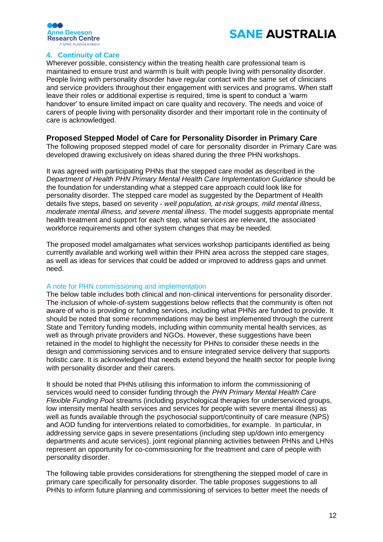



## **4. Continuity of Care**

Wherever possible, consistency within the treating health care professional team is maintained to ensure trust and warmth is built with people living with personality disorder. People living with personality disorder have regular contact with the same set of clinicians and service providers throughout their engagement with services and programs. When staff leave their roles or additional expertise is required, time is spent to conduct a 'warm handover' to ensure limited impact on care quality and recovery. The needs and voice of carers of people living with personality disorder and their important role in the continuity of care is acknowledged.

## <span id="page-11-0"></span>**Proposed Stepped Model of Care for Personality Disorder in Primary Care**

The following proposed stepped model of care for personality disorder in Primary Care was developed drawing exclusively on ideas shared during the three PHN workshops.

It was agreed with participating PHNs that the stepped care model as described in the *Department of Health PHN Primary Mental Health Care Implementation Guidance* should be the foundation for understanding what a stepped care approach could look like for personality disorder. The stepped care model as suggested by the Department of Health details five steps, based on severity - *well population, at-risk groups, mild mental illness, moderate mental illness, and severe mental illness*. The model suggests appropriate mental health treatment and support for each step, what services are relevant, the associated workforce requirements and other system changes that may be needed.

The proposed model amalgamates what services workshop participants identified as being currently available and working well within their PHN area across the stepped care stages, as well as ideas for services that could be added or improved to address gaps and unmet need.

## A note for PHN commissioning and implementation

The below table includes both clinical and non-clinical interventions for personality disorder. The inclusion of whole-of-system suggestions below reflects that the community is often not aware of who is providing or funding services, including what PHNs are funded to provide. It should be noted that some recommendations may be best implemented through the current State and Territory funding models, including within community mental health services, as well as through private providers and NGOs. However, these suggestions have been retained in the model to highlight the necessity for PHNs to consider these needs in the design and commissioning services and to ensure integrated service delivery that supports holistic care. It is acknowledged that needs extend beyond the health sector for people living with personality disorder and their carers.

It should be noted that PHNs utilising this information to inform the commissioning of services would need to consider funding through the *PHN Primary Mental Health Care Flexible Funding Pool* streams (including psychological therapies for underserviced groups, low intensity mental health services and services for people with severe mental illness) as well as funds available through the psychosocial support/continuity of care measure (NPS) and AOD funding for interventions related to comorbidities, for example. In particular, in addressing service gaps in severe presentations (including step up/down into emergency departments and acute services), joint regional planning activities between PHNs and LHNs represent an opportunity for co-commissioning for the treatment and care of people with personality disorder.

The following table provides considerations for strengthening the stepped model of care in primary care specifically for personality disorder. The table proposes suggestions to all PHNs to inform future planning and commissioning of services to better meet the needs of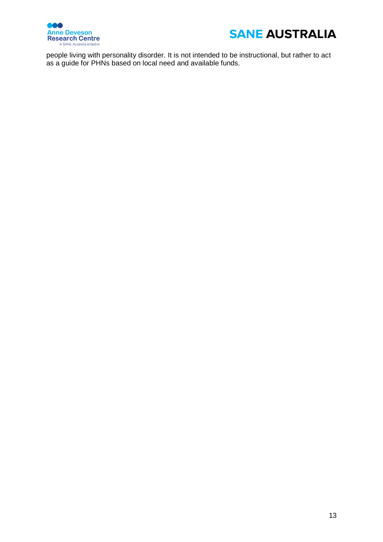



people living with personality disorder. It is not intended to be instructional, but rather to act as a guide for PHNs based on local need and available funds.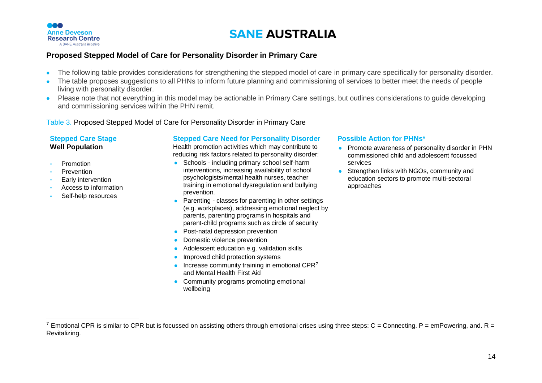

 $\overline{a}$ 

## **SANE AUSTRALIA**

## **Proposed Stepped Model of Care for Personality Disorder in Primary Care**

- The following table provides considerations for strengthening the stepped model of care in primary care specifically for personality disorder.
- The table proposes suggestions to all PHNs to inform future planning and commissioning of services to better meet the needs of people living with personality disorder.
- Please note that not everything in this model may be actionable in Primary Care settings, but outlines considerations to guide developing and commissioning services within the PHN remit.

## Table 3. Proposed Stepped Model of Care for Personality Disorder in Primary Care

| <b>Stepped Care Stage</b>                                                                                               | <b>Stepped Care Need for Personality Disorder</b>                                                                                                                                                                                                                                                                                                                                                                                                                                                                                                                                                                                                                                                                                                                                                                                                                            | <b>Possible Action for PHNs*</b>                                                                                                                                                                                     |
|-------------------------------------------------------------------------------------------------------------------------|------------------------------------------------------------------------------------------------------------------------------------------------------------------------------------------------------------------------------------------------------------------------------------------------------------------------------------------------------------------------------------------------------------------------------------------------------------------------------------------------------------------------------------------------------------------------------------------------------------------------------------------------------------------------------------------------------------------------------------------------------------------------------------------------------------------------------------------------------------------------------|----------------------------------------------------------------------------------------------------------------------------------------------------------------------------------------------------------------------|
| <b>Well Population</b><br>Promotion<br>Prevention<br>Early intervention<br>Access to information<br>Self-help resources | Health promotion activities which may contribute to<br>reducing risk factors related to personality disorder:<br>Schools - including primary school self-harm<br>interventions, increasing availability of school<br>psychologists/mental health nurses, teacher<br>training in emotional dysregulation and bullying<br>prevention.<br>Parenting - classes for parenting in other settings<br>(e.g. workplaces), addressing emotional neglect by<br>parents, parenting programs in hospitals and<br>parent-child programs such as circle of security<br>Post-natal depression prevention<br>Domestic violence prevention<br>$\bullet$<br>Adolescent education e.g. validation skills<br>Improved child protection systems<br>Increase community training in emotional CPR <sup>7</sup><br>and Mental Health First Aid<br>Community programs promoting emotional<br>wellbeing | Promote awareness of personality disorder in PHN<br>commissioned child and adolescent focussed<br>services<br>Strengthen links with NGOs, community and<br>education sectors to promote multi-sectoral<br>approaches |
|                                                                                                                         |                                                                                                                                                                                                                                                                                                                                                                                                                                                                                                                                                                                                                                                                                                                                                                                                                                                                              |                                                                                                                                                                                                                      |

<sup>&</sup>lt;sup>7</sup> Emotional CPR is similar to CPR but is focussed on assisting others through emotional crises using three steps: C = Connecting. P = emPowering, and. R = Revitalizing.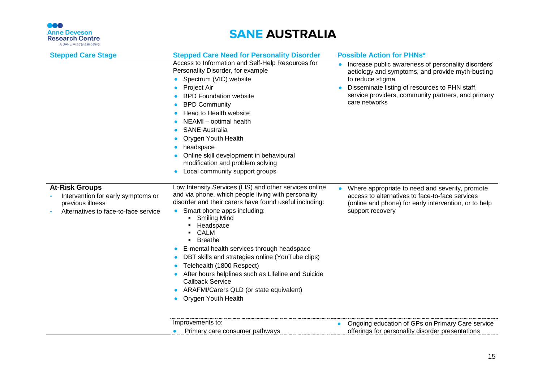

| <b>Stepped Care Stage</b>                                                                                               | <b>Stepped Care Need for Personality Disorder</b>                                                                                                                                                                                                                                                                                                                                                                                                                                                                                                                                                    | <b>Possible Action for PHNs*</b>                                                                                                                                                                                                                     |
|-------------------------------------------------------------------------------------------------------------------------|------------------------------------------------------------------------------------------------------------------------------------------------------------------------------------------------------------------------------------------------------------------------------------------------------------------------------------------------------------------------------------------------------------------------------------------------------------------------------------------------------------------------------------------------------------------------------------------------------|------------------------------------------------------------------------------------------------------------------------------------------------------------------------------------------------------------------------------------------------------|
|                                                                                                                         | Access to Information and Self-Help Resources for<br>Personality Disorder, for example<br>Spectrum (VIC) website<br>Project Air<br><b>BPD Foundation website</b><br><b>BPD Community</b><br>Head to Health website<br>٠<br>NEAMI - optimal health<br><b>SANE Australia</b><br>Orygen Youth Health<br>headspace<br>Online skill development in behavioural<br>modification and problem solving<br>Local community support groups                                                                                                                                                                      | Increase public awareness of personality disorders'<br>aetiology and symptoms, and provide myth-busting<br>to reduce stigma<br>Disseminate listing of resources to PHN staff,<br>service providers, community partners, and primary<br>care networks |
| <b>At-Risk Groups</b><br>Intervention for early symptoms or<br>previous illness<br>Alternatives to face-to-face service | Low Intensity Services (LIS) and other services online<br>and via phone, which people living with personality<br>disorder and their carers have found useful including:<br>Smart phone apps including:<br><b>Smiling Mind</b><br>Headspace<br><b>CALM</b><br><b>Breathe</b><br>E-mental health services through headspace<br>$\bullet$<br>DBT skills and strategies online (YouTube clips)<br>$\bullet$<br>Telehealth (1800 Respect)<br>After hours helplines such as Lifeline and Suicide<br><b>Callback Service</b><br>ARAFMI/Carers QLD (or state equivalent)<br>Orygen Youth Health<br>$\bullet$ | Where appropriate to need and severity, promote<br>access to alternatives to face-to-face services<br>(online and phone) for early intervention, or to help<br>support recovery                                                                      |
|                                                                                                                         | Improvements to:<br>Primary care consumer pathways                                                                                                                                                                                                                                                                                                                                                                                                                                                                                                                                                   | Ongoing education of GPs on Primary Care service<br>offerings for personality disorder presentations                                                                                                                                                 |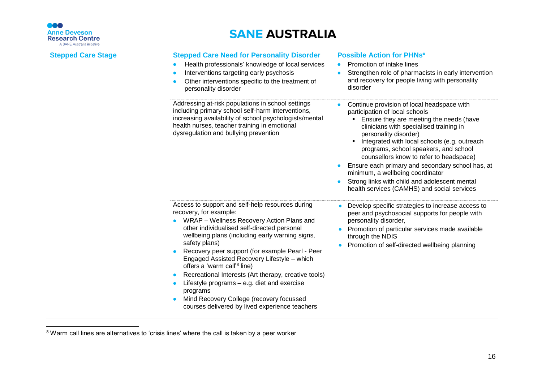

| <b>Stepped Care Stage</b> | <b>Stepped Care Need for Personality Disorder</b>                                                                                                                                                                                                                                                                                                                                                                                                                                                                                                                                                                     | <b>Possible Action for PHNs*</b>                                                                                                                                                                                                                                                                                                                                                                                                                                                                                             |
|---------------------------|-----------------------------------------------------------------------------------------------------------------------------------------------------------------------------------------------------------------------------------------------------------------------------------------------------------------------------------------------------------------------------------------------------------------------------------------------------------------------------------------------------------------------------------------------------------------------------------------------------------------------|------------------------------------------------------------------------------------------------------------------------------------------------------------------------------------------------------------------------------------------------------------------------------------------------------------------------------------------------------------------------------------------------------------------------------------------------------------------------------------------------------------------------------|
|                           | Health professionals' knowledge of local services<br>$\bullet$<br>Interventions targeting early psychosis<br>Other interventions specific to the treatment of<br>personality disorder                                                                                                                                                                                                                                                                                                                                                                                                                                 | Promotion of intake lines<br>$\bullet$<br>Strengthen role of pharmacists in early intervention<br>and recovery for people living with personality<br>disorder                                                                                                                                                                                                                                                                                                                                                                |
|                           | Addressing at-risk populations in school settings<br>including primary school self-harm interventions,<br>increasing availability of school psychologists/mental<br>health nurses, teacher training in emotional<br>dysregulation and bullying prevention                                                                                                                                                                                                                                                                                                                                                             | Continue provision of local headspace with<br>participation of local schools<br>Ensure they are meeting the needs (have<br>clinicians with specialised training in<br>personality disorder)<br>Integrated with local schools (e.g. outreach<br>٠<br>programs, school speakers, and school<br>counsellors know to refer to headspace)<br>Ensure each primary and secondary school has, at<br>minimum, a wellbeing coordinator<br>Strong links with child and adolescent mental<br>health services (CAMHS) and social services |
|                           | Access to support and self-help resources during<br>recovery, for example:<br>WRAP - Wellness Recovery Action Plans and<br>other individualised self-directed personal<br>wellbeing plans (including early warning signs,<br>safety plans)<br>Recovery peer support (for example Pearl - Peer<br>Engaged Assisted Recovery Lifestyle - which<br>offers a 'warm call' <sup>8</sup> line)<br>Recreational Interests (Art therapy, creative tools)<br>$\bullet$<br>Lifestyle programs – e.g. diet and exercise<br>programs<br>Mind Recovery College (recovery focussed<br>courses delivered by lived experience teachers | Develop specific strategies to increase access to<br>peer and psychosocial supports for people with<br>personality disorder,<br>Promotion of particular services made available<br>through the NDIS<br>Promotion of self-directed wellbeing planning                                                                                                                                                                                                                                                                         |

 $8$  Warm call lines are alternatives to 'crisis lines' where the call is taken by a peer worker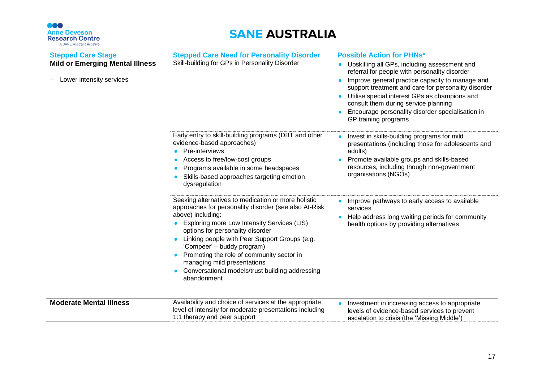## 666 **Anne Deveson<br>Research Centre**

| <b>Stepped Care Stage</b>                                          | <b>Stepped Care Need for Personality Disorder</b>                                                                                                                                                                                                                                                                                                                                                                                                 | <b>Possible Action for PHNs*</b>                                                                                                                                                                                                                                                                                                                                                                       |
|--------------------------------------------------------------------|---------------------------------------------------------------------------------------------------------------------------------------------------------------------------------------------------------------------------------------------------------------------------------------------------------------------------------------------------------------------------------------------------------------------------------------------------|--------------------------------------------------------------------------------------------------------------------------------------------------------------------------------------------------------------------------------------------------------------------------------------------------------------------------------------------------------------------------------------------------------|
| <b>Mild or Emerging Mental Illness</b><br>Lower intensity services | Skill-building for GPs in Personality Disorder                                                                                                                                                                                                                                                                                                                                                                                                    | Upskilling all GPs, including assessment and<br>referral for people with personality disorder<br>Improve general practice capacity to manage and<br>$\bullet$<br>support treatment and care for personality disorder<br>Utilise special interest GPs as champions and<br>$\bullet$<br>consult them during service planning<br>Encourage personality disorder specialisation in<br>GP training programs |
|                                                                    | Early entry to skill-building programs (DBT and other<br>evidence-based approaches)<br>Pre-interviews<br>Access to free/low-cost groups<br>Programs available in some headspaces<br>Skills-based approaches targeting emotion<br>dysregulation                                                                                                                                                                                                    | Invest in skills-building programs for mild<br>presentations (including those for adolescents and<br>adults)<br>Promote available groups and skills-based<br>resources, including though non-government<br>organisations (NGOs)                                                                                                                                                                        |
|                                                                    | Seeking alternatives to medication or more holistic<br>approaches for personality disorder (see also At-Risk<br>above) including:<br>Exploring more Low Intensity Services (LIS)<br>options for personality disorder<br>Linking people with Peer Support Groups (e.g.<br>'Compeer' – buddy program)<br>Promoting the role of community sector in<br>managing mild presentations<br>Conversational models/trust building addressing<br>abandonment | Improve pathways to early access to available<br>services<br>Help address long waiting periods for community<br>health options by providing alternatives                                                                                                                                                                                                                                               |
| <b>Moderate Mental Illness</b>                                     | Availability and choice of services at the appropriate<br>level of intensity for moderate presentations including<br>1:1 therapy and peer support                                                                                                                                                                                                                                                                                                 | Investment in increasing access to appropriate<br>levels of evidence-based services to prevent<br>escalation to crisis (the 'Missing Middle')                                                                                                                                                                                                                                                          |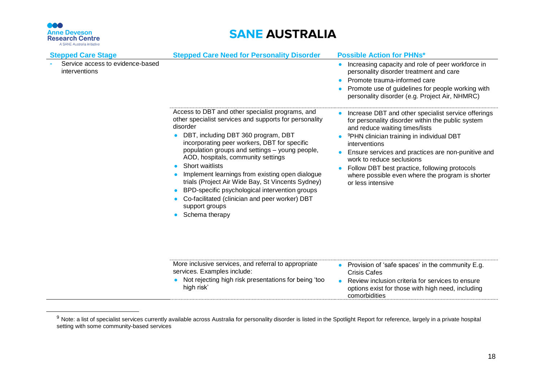

| <b>Stepped Care Stage</b><br>Service access to evidence-based<br>interventions | <b>Stepped Care Need for Personality Disorder</b>                                                                                                                                                                                                                                                                                                                                                                                                                                                                                                                                     | <b>Possible Action for PHNs*</b><br>Increasing capacity and role of peer workforce in<br>$\bullet$<br>personality disorder treatment and care<br>Promote trauma-informed care<br>Promote use of guidelines for people working with<br>personality disorder (e.g. Project Air, NHMRC)                                                                                                                                              |
|--------------------------------------------------------------------------------|---------------------------------------------------------------------------------------------------------------------------------------------------------------------------------------------------------------------------------------------------------------------------------------------------------------------------------------------------------------------------------------------------------------------------------------------------------------------------------------------------------------------------------------------------------------------------------------|-----------------------------------------------------------------------------------------------------------------------------------------------------------------------------------------------------------------------------------------------------------------------------------------------------------------------------------------------------------------------------------------------------------------------------------|
|                                                                                | Access to DBT and other specialist programs, and<br>other specialist services and supports for personality<br>disorder<br>DBT, including DBT 360 program, DBT<br>$\bullet$<br>incorporating peer workers, DBT for specific<br>population groups and settings - young people,<br>AOD, hospitals, community settings<br>Short waitlists<br>Implement learnings from existing open dialogue<br>trials (Project Air Wide Bay, St Vincents Sydney)<br>BPD-specific psychological intervention groups<br>Co-facilitated (clinician and peer worker) DBT<br>support groups<br>Schema therapy | Increase DBT and other specialist service offerings<br>for personality disorder within the public system<br>and reduce waiting times/lists<br><sup>9</sup> PHN clinician training in individual DBT<br>interventions<br>Ensure services and practices are non-punitive and<br>work to reduce seclusions<br>Follow DBT best practice, following protocols<br>where possible even where the program is shorter<br>or less intensive |
|                                                                                | More inclusive services, and referral to appropriate<br>services. Examples include:<br>Not rejecting high risk presentations for being 'too<br>high risk'                                                                                                                                                                                                                                                                                                                                                                                                                             | Provision of 'safe spaces' in the community E.g.<br><b>Crisis Cafes</b><br>Review inclusion criteria for services to ensure<br>$\bullet$<br>options exist for those with high need, including<br>comorbidities                                                                                                                                                                                                                    |

 $9$  Note: a list of specialist services currently available across Australia for personality disorder is listed in the Spotlight Report for reference, largely in a private hospital setting with some community-based services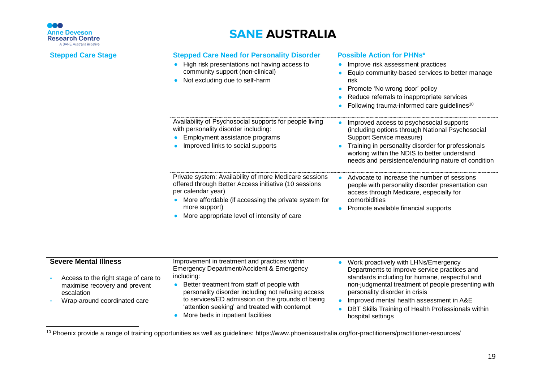

## **SANE AUSTRALIA**

| <b>Stepped Care Stage</b>                                             | <b>Stepped Care Need for Personality Disorder</b>                                                                                                                                             | <b>Possible Action for PHNs*</b>                                                                                                                                                             |
|-----------------------------------------------------------------------|-----------------------------------------------------------------------------------------------------------------------------------------------------------------------------------------------|----------------------------------------------------------------------------------------------------------------------------------------------------------------------------------------------|
|                                                                       | High risk presentations not having access to<br>$\bullet$                                                                                                                                     | Improve risk assessment practices<br>$\bullet$                                                                                                                                               |
|                                                                       | community support (non-clinical)<br>Not excluding due to self-harm<br>$\bullet$                                                                                                               | Equip community-based services to better manage<br>risk                                                                                                                                      |
|                                                                       |                                                                                                                                                                                               | Promote 'No wrong door' policy<br>$\bullet$                                                                                                                                                  |
|                                                                       |                                                                                                                                                                                               | Reduce referrals to inappropriate services                                                                                                                                                   |
|                                                                       |                                                                                                                                                                                               | Following trauma-informed care guidelines <sup>10</sup>                                                                                                                                      |
|                                                                       | Availability of Psychosocial supports for people living<br>with personality disorder including:<br>Employment assistance programs                                                             | Improved access to psychosocial supports<br>(including options through National Psychosocial<br>Support Service measure)                                                                     |
|                                                                       | Improved links to social supports                                                                                                                                                             | Training in personality disorder for professionals<br>working within the NDIS to better understand<br>needs and persistence/enduring nature of condition                                     |
|                                                                       | Private system: Availability of more Medicare sessions<br>offered through Better Access initiative (10 sessions<br>per calendar year)<br>More affordable (if accessing the private system for | Advocate to increase the number of sessions<br>$\bullet$<br>people with personality disorder presentation can<br>access through Medicare, especially for<br>comorbidities                    |
|                                                                       | more support)<br>More appropriate level of intensity of care                                                                                                                                  | Promote available financial supports<br>$\bullet$                                                                                                                                            |
| <b>Severe Mental Illness</b>                                          | Improvement in treatment and practices within                                                                                                                                                 |                                                                                                                                                                                              |
| Access to the right stage of care to<br>maximise recovery and prevent | Emergency Department/Accident & Emergency<br>including:<br>Better treatment from staff of people with                                                                                         | Work proactively with LHNs/Emergency<br>Departments to improve service practices and<br>standards including for humane, respectful and<br>non-judgmental treatment of people presenting with |
| escalation                                                            | personality disorder including not refusing access                                                                                                                                            | personality disorder in crisis                                                                                                                                                               |
| Wrap-around coordinated care                                          | to services/ED admission on the grounds of being                                                                                                                                              | Improved mental health assessment in A&E                                                                                                                                                     |
|                                                                       | 'attention seeking' and treated with contempt<br>More beds in inpatient facilities<br>$\bullet$                                                                                               | DBT Skills Training of Health Professionals within<br>hospital settings                                                                                                                      |

<sup>10</sup> Phoenix provide a range of training opportunities as well as guidelines: https://www.phoenixaustralia.org/for-practitioners/practitioner-resources/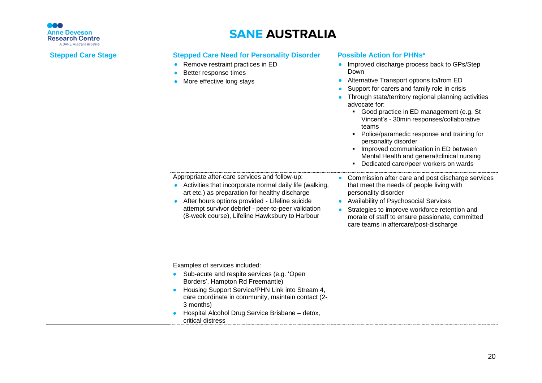666

| <b>Anne Deveson</b><br><b>Research Centre</b><br>A SANE Australia initiative | <b>SANE AUSTRALIA</b>                                                                                                                                                                                                                                                                                                        |                                                                                                                                                                                                                                                                                                                                                                                                                                                                                                                                       |  |
|------------------------------------------------------------------------------|------------------------------------------------------------------------------------------------------------------------------------------------------------------------------------------------------------------------------------------------------------------------------------------------------------------------------|---------------------------------------------------------------------------------------------------------------------------------------------------------------------------------------------------------------------------------------------------------------------------------------------------------------------------------------------------------------------------------------------------------------------------------------------------------------------------------------------------------------------------------------|--|
| <b>Stepped Care Stage</b>                                                    | <b>Stepped Care Need for Personality Disorder</b>                                                                                                                                                                                                                                                                            | <b>Possible Action for PHNs*</b>                                                                                                                                                                                                                                                                                                                                                                                                                                                                                                      |  |
|                                                                              | Remove restraint practices in ED<br>$\bullet$<br>Better response times<br>More effective long stays                                                                                                                                                                                                                          | Improved discharge process back to GPs/Step<br>Down<br>Alternative Transport options to/from ED<br>Support for carers and family role in crisis<br>Through state/territory regional planning activities<br>advocate for:<br>• Good practice in ED management (e.g. St<br>Vincent's - 30min responses/collaborative<br>teams<br>Police/paramedic response and training for<br>personality disorder<br>Improved communication in ED between<br>Mental Health and general/clinical nursing<br>Dedicated carer/peer workers on wards<br>٠ |  |
|                                                                              | Appropriate after-care services and follow-up:<br>• Activities that incorporate normal daily life (walking,<br>art etc.) as preparation for healthy discharge<br>After hours options provided - Lifeline suicide<br>attempt survivor debrief - peer-to-peer validation<br>(8-week course), Lifeline Hawksbury to Harbour     | Commission after care and post discharge services<br>that meet the needs of people living with<br>personality disorder<br><b>Availability of Psychosocial Services</b><br>Strategies to improve workforce retention and<br>$\bullet$<br>morale of staff to ensure passionate, committed<br>care teams in aftercare/post-discharge                                                                                                                                                                                                     |  |
|                                                                              | Examples of services included:<br>Sub-acute and respite services (e.g. 'Open'<br>$\bullet$<br>Borders', Hampton Rd Freemantle)<br>Housing Support Service/PHN Link into Stream 4,<br>care coordinate in community, maintain contact (2-<br>3 months)<br>Hospital Alcohol Drug Service Brisbane - detox,<br>critical distress |                                                                                                                                                                                                                                                                                                                                                                                                                                                                                                                                       |  |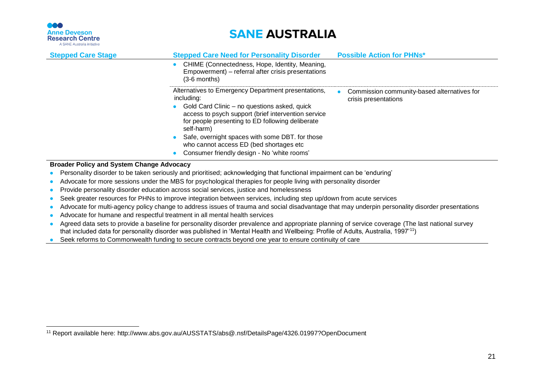

## **SANE AUSTRALIA**

| <b>Stepped Care Stage</b>                        | <b>Stepped Care Need for Personality Disorder</b><br><b>Possible Action for PHNs*</b>                                                                                                                                                                                                                                          |
|--------------------------------------------------|--------------------------------------------------------------------------------------------------------------------------------------------------------------------------------------------------------------------------------------------------------------------------------------------------------------------------------|
|                                                  | CHIME (Connectedness, Hope, Identity, Meaning,<br>Empowerment) – referral after crisis presentations<br>$(3-6$ months)                                                                                                                                                                                                         |
|                                                  | Alternatives to Emergency Department presentations,<br>Commission community-based alternatives for<br>including:<br>crisis presentations<br>Gold Card Clinic – no questions asked, quick<br>$\bullet$<br>access to psych support (brief intervention service<br>for people presenting to ED following deliberate<br>self-harm) |
|                                                  | Safe, overnight spaces with some DBT. for those<br>who cannot access ED (bed shortages etc                                                                                                                                                                                                                                     |
|                                                  | Consumer friendly design - No 'white rooms'                                                                                                                                                                                                                                                                                    |
| <b>Broader Policy and System Change Advocacy</b> |                                                                                                                                                                                                                                                                                                                                |

• Personality disorder to be taken seriously and prioritised; acknowledging that functional impairment can be 'enduring'

- Advocate for more sessions under the MBS for psychological therapies for people living with personality disorder
- Provide personality disorder education across social services, justice and homelessness
- Seek greater resources for PHNs to improve integration between services, including step up/down from acute services
- Advocate for multi-agency policy change to address issues of trauma and social disadvantage that may underpin personality disorder presentations
- Advocate for humane and respectful treatment in all mental health services
- Agreed data sets to provide a baseline for personality disorder prevalence and appropriate planning of service coverage (The last national survey that included data for personality disorder was published in 'Mental Health and Wellbeing: Profile of Adults, Australia, 1997'<sup>11</sup>)
- Seek reforms to Commonwealth funding to secure contracts beyond one year to ensure continuity of care

<sup>11</sup> Report available here: http://www.abs.gov.au/AUSSTATS/abs@.nsf/DetailsPage/4326.01997?OpenDocument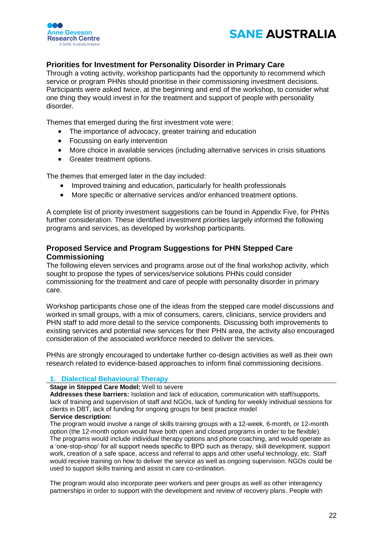



## <span id="page-21-0"></span>**Priorities for Investment for Personality Disorder in Primary Care**

Through a voting activity, workshop participants had the opportunity to recommend which service or program PHNs should prioritise in their commissioning investment decisions. Participants were asked twice, at the beginning and end of the workshop, to consider what one thing they would invest in for the treatment and support of people with personality disorder.

Themes that emerged during the first investment vote were:

- The importance of advocacy, greater training and education
- Focussing on early intervention
- More choice in available services (including alternative services in crisis situations
- Greater treatment options.

The themes that emerged later in the day included:

- Improved training and education, particularly for health professionals
- More specific or alternative services and/or enhanced treatment options.

A complete list of priority investment suggestions can be found in Appendix Five, for PHNs further consideration. These identified investment priorities largely informed the following programs and services, as developed by workshop participants.

## <span id="page-21-1"></span>**Proposed Service and Program Suggestions for PHN Stepped Care Commissioning**

The following eleven services and programs arose out of the final workshop activity, which sought to propose the types of services/service solutions PHNs could consider commissioning for the treatment and care of people with personality disorder in primary care.

Workshop participants chose one of the ideas from the stepped care model discussions and worked in small groups, with a mix of consumers, carers, clinicians, service providers and PHN staff to add more detail to the service components. Discussing both improvements to existing services and potential new services for their PHN area, the activity also encouraged consideration of the associated workforce needed to deliver the services.

PHNs are strongly encouraged to undertake further co-design activities as well as their own research related to evidence-based approaches to inform final commissioning decisions.

#### **1. Dialectical Behavioural Therapy**

**Stage in Stepped Care Model:** Well to severe

**Addresses these barriers:** Isolation and lack of education, communication with staff/supports, lack of training and supervision of staff and NGOs, lack of funding for weekly individual sessions for clients in DBT, lack of funding for ongoing groups for best practice model **Service description:**

The program would involve a range of skills training groups with a 12-week, 6-month, or 12-month option (the 12-month option would have both open and closed programs in order to be flexible). The programs would include individual therapy options and phone coaching, and would operate as a 'one-stop-shop' for all support needs specific to BPD such as therapy, skill development, support work, creation of a safe space, access and referral to apps and other useful technology, etc. Staff would receive training on how to deliver the service as well as ongoing supervision. NGOs could be used to support skills training and assist in care co-ordination.

The program would also incorporate peer workers and peer groups as well as other interagency partnerships in order to support with the development and review of recovery plans. People with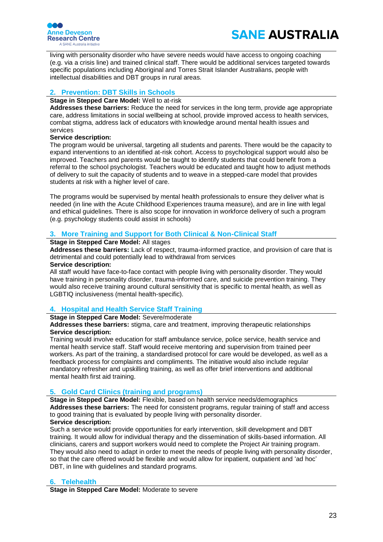

living with personality disorder who have severe needs would have access to ongoing coaching (e.g. via a crisis line) and trained clinical staff. There would be additional services targeted towards specific populations including Aboriginal and Torres Strait Islander Australians, people with intellectual disabilities and DBT groups in rural areas.

## **2. Prevention: DBT Skills in Schools**

### **Stage in Stepped Care Model:** Well to at-risk

**Addresses these barriers:** Reduce the need for services in the long term, provide age appropriate care, address limitations in social wellbeing at school, provide improved access to health services, combat stigma, address lack of educators with knowledge around mental health issues and services

### **Service description:**

The program would be universal, targeting all students and parents. There would be the capacity to expand interventions to an identified at-risk cohort. Access to psychological support would also be improved. Teachers and parents would be taught to identify students that could benefit from a referral to the school psychologist. Teachers would be educated and taught how to adjust methods of delivery to suit the capacity of students and to weave in a stepped-care model that provides students at risk with a higher level of care.

The programs would be supervised by mental health professionals to ensure they deliver what is needed (in line with the Acute Childhood Experiences trauma measure), and are in line with legal and ethical guidelines. There is also scope for innovation in workforce delivery of such a program (e.g. psychology students could assist in schools)

## **3. More Training and Support for Both Clinical & Non-Clinical Staff**

### **Stage in Stepped Care Model:** All stages

**Addresses these barriers:** Lack of respect, trauma-informed practice, and provision of care that is detrimental and could potentially lead to withdrawal from services

### **Service description:**

All staff would have face-to-face contact with people living with personality disorder. They would have training in personality disorder, trauma-informed care, and suicide prevention training. They would also receive training around cultural sensitivity that is specific to mental health, as well as LGBTIQ inclusiveness (mental health-specific).

## **4. Hospital and Health Service Staff Training**

### **Stage in Stepped Care Model:** Severe/moderate

**Addresses these barriers:** stigma, care and treatment, improving therapeutic relationships **Service description:**

Training would involve education for staff ambulance service, police service, health service and mental health service staff. Staff would receive mentoring and supervision from trained peer workers. As part of the training, a standardised protocol for care would be developed, as well as a feedback process for complaints and compliments. The initiative would also include regular mandatory refresher and upskilling training, as well as offer brief interventions and additional mental health first aid training.

## **5. Gold Card Clinics (training and programs)**

**Stage in Stepped Care Model:** Flexible, based on health service needs/demographics **Addresses these barriers:** The need for consistent programs, regular training of staff and access to good training that is evaluated by people living with personality disorder. **Service description:** 

Such a service would provide opportunities for early intervention, skill development and DBT training. It would allow for individual therapy and the dissemination of skills-based information. All clinicians, carers and support workers would need to complete the Project Air training program. They would also need to adapt in order to meet the needs of people living with personality disorder, so that the care offered would be flexible and would allow for inpatient, outpatient and 'ad hoc' DBT, in line with guidelines and standard programs.

## **6. Telehealth**

**Stage in Stepped Care Model:** Moderate to severe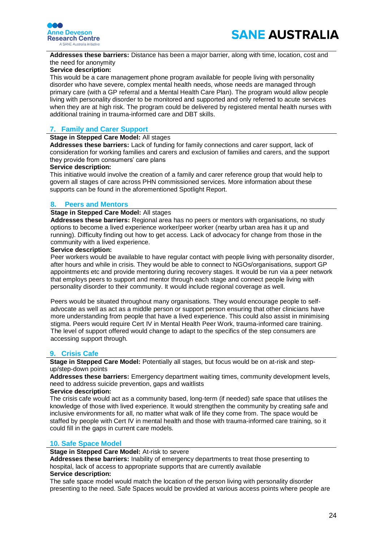



**Addresses these barriers:** Distance has been a major barrier, along with time, location, cost and the need for anonymity

#### **Service description:**

This would be a care management phone program available for people living with personality disorder who have severe, complex mental health needs, whose needs are managed through primary care (with a GP referral and a Mental Health Care Plan). The program would allow people living with personality disorder to be monitored and supported and only referred to acute services when they are at high risk. The program could be delivered by registered mental health nurses with additional training in trauma-informed care and DBT skills.

## **7. Family and Carer Support**

#### **Stage in Stepped Care Model:** All stages

**Addresses these barriers:** Lack of funding for family connections and carer support, lack of consideration for working families and carers and exclusion of families and carers, and the support they provide from consumers' care plans

#### **Service description:**

This initiative would involve the creation of a family and carer reference group that would help to govern all stages of care across PHN commissioned services. More information about these supports can be found in the aforementioned Spotlight Report.

#### **8. Peers and Mentors**

#### **Stage in Stepped Care Model:** All stages

**Addresses these barriers:** Regional area has no peers or mentors with organisations, no study options to become a lived experience worker/peer worker (nearby urban area has it up and running). Difficulty finding out how to get access. Lack of advocacy for change from those in the community with a lived experience.

#### **Service description:**

Peer workers would be available to have regular contact with people living with personality disorder, after hours and while in crisis. They would be able to connect to NGOs/organisations, support GP appointments etc and provide mentoring during recovery stages. It would be run via a peer network that employs peers to support and mentor through each stage and connect people living with personality disorder to their community. It would include regional coverage as well.

Peers would be situated throughout many organisations. They would encourage people to selfadvocate as well as act as a middle person or support person ensuring that other clinicians have more understanding from people that have a lived experience. This could also assist in minimising stigma. Peers would require Cert IV in Mental Health Peer Work, trauma-informed care training. The level of support offered would change to adapt to the specifics of the step consumers are accessing support through.

#### **9. Crisis Cafe**

**Stage in Stepped Care Model:** Potentially all stages, but focus would be on at-risk and stepup/step-down points

**Addresses these barriers:** Emergency department waiting times, community development levels, need to address suicide prevention, gaps and waitlists

#### **Service description:**

The crisis cafe would act as a community based, long-term (if needed) safe space that utilises the knowledge of those with lived experience. It would strengthen the community by creating safe and inclusive environments for all, no matter what walk of life they come from. The space would be staffed by people with Cert IV in mental health and those with trauma-informed care training, so it could fill in the gaps in current care models.

#### **10. Safe Space Model**

### **Stage in Stepped Care Model:** At-risk to severe

**Addresses these barriers:** Inability of emergency departments to treat those presenting to hospital, lack of access to appropriate supports that are currently available

#### **Service description:**

The safe space model would match the location of the person living with personality disorder presenting to the need. Safe Spaces would be provided at various access points where people are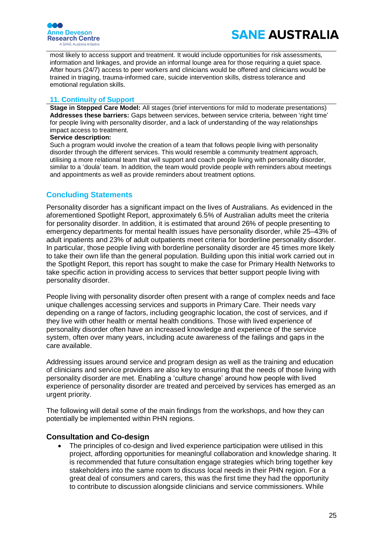

most likely to access support and treatment. It would include opportunities for risk assessments, information and linkages, and provide an informal lounge area for those requiring a quiet space. After hours (24/7) access to peer workers and clinicians would be offered and clinicians would be trained in triaging, trauma-informed care, suicide intervention skills, distress tolerance and emotional regulation skills.

## **11. Continuity of Support**

**Stage in Stepped Care Model:** All stages (brief interventions for mild to moderate presentations) **Addresses these barriers:** Gaps between services, between service criteria, between 'right time' for people living with personality disorder, and a lack of understanding of the way relationships impact access to treatment.

#### **Service description:**

Such a program would involve the creation of a team that follows people living with personality disorder through the different services. This would resemble a community treatment approach, utilising a more relational team that will support and coach people living with personality disorder, similar to a 'doula' team. In addition, the team would provide people with reminders about meetings and appointments as well as provide reminders about treatment options.

## <span id="page-24-0"></span>**Concluding Statements**

Personality disorder has a significant impact on the lives of Australians. As evidenced in the aforementioned Spotlight Report, approximately 6.5% of Australian adults meet the criteria for personality disorder. In addition, it is estimated that around 26% of people presenting to emergency departments for mental health issues have personality disorder, while 25–43% of adult inpatients and 23% of adult outpatients meet criteria for borderline personality disorder. In particular, those people living with borderline personality disorder are 45 times more likely to take their own life than the general population. Building upon this initial work carried out in the Spotlight Report, this report has sought to make the case for Primary Health Networks to take specific action in providing access to services that better support people living with personality disorder.

People living with personality disorder often present with a range of complex needs and face unique challenges accessing services and supports in Primary Care. Their needs vary depending on a range of factors, including geographic location, the cost of services, and if they live with other health or mental health conditions. Those with lived experience of personality disorder often have an increased knowledge and experience of the service system, often over many years, including acute awareness of the failings and gaps in the care available.

Addressing issues around service and program design as well as the training and education of clinicians and service providers are also key to ensuring that the needs of those living with personality disorder are met. Enabling a 'culture change' around how people with lived experience of personality disorder are treated and perceived by services has emerged as an urgent priority.

The following will detail some of the main findings from the workshops, and how they can potentially be implemented within PHN regions.

## <span id="page-24-1"></span>**Consultation and Co-design**

• The principles of co-design and lived experience participation were utilised in this project, affording opportunities for meaningful collaboration and knowledge sharing. It is recommended that future consultation engage strategies which bring together key stakeholders into the same room to discuss local needs in their PHN region. For a great deal of consumers and carers, this was the first time they had the opportunity to contribute to discussion alongside clinicians and service commissioners. While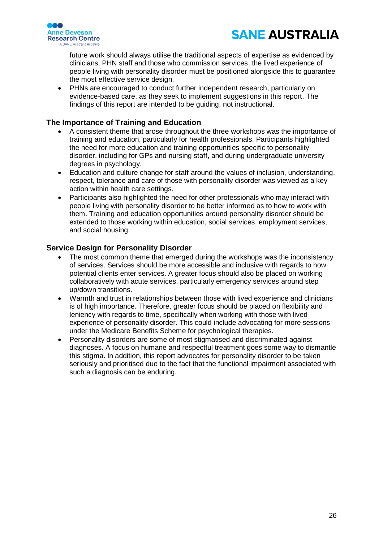

future work should always utilise the traditional aspects of expertise as evidenced by clinicians, PHN staff and those who commission services, the lived experience of people living with personality disorder must be positioned alongside this to guarantee the most effective service design.

• PHNs are encouraged to conduct further independent research, particularly on evidence-based care, as they seek to implement suggestions in this report. The findings of this report are intended to be guiding, not instructional.

## <span id="page-25-0"></span>**The Importance of Training and Education**

- A consistent theme that arose throughout the three workshops was the importance of training and education, particularly for health professionals. Participants highlighted the need for more education and training opportunities specific to personality disorder, including for GPs and nursing staff, and during undergraduate university degrees in psychology.
- Education and culture change for staff around the values of inclusion, understanding, respect, tolerance and care of those with personality disorder was viewed as a key action within health care settings.
- Participants also highlighted the need for other professionals who may interact with people living with personality disorder to be better informed as to how to work with them. Training and education opportunities around personality disorder should be extended to those working within education, social services, employment services, and social housing.

## <span id="page-25-1"></span>**Service Design for Personality Disorder**

- The most common theme that emerged during the workshops was the inconsistency of services. Services should be more accessible and inclusive with regards to how potential clients enter services. A greater focus should also be placed on working collaboratively with acute services, particularly emergency services around step up/down transitions.
- Warmth and trust in relationships between those with lived experience and clinicians is of high importance. Therefore, greater focus should be placed on flexibility and leniency with regards to time, specifically when working with those with lived experience of personality disorder. This could include advocating for more sessions under the Medicare Benefits Scheme for psychological therapies.
- Personality disorders are some of most stigmatised and discriminated against diagnoses. A focus on humane and respectful treatment goes some way to dismantle this stigma. In addition, this report advocates for personality disorder to be taken seriously and prioritised due to the fact that the functional impairment associated with such a diagnosis can be enduring.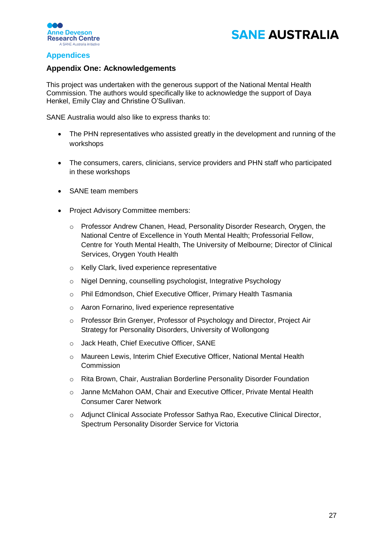



## <span id="page-26-0"></span>**Appendices**

## <span id="page-26-1"></span>**Appendix One: Acknowledgements**

This project was undertaken with the generous support of the National Mental Health Commission. The authors would specifically like to acknowledge the support of Daya Henkel, Emily Clay and Christine O'Sullivan.

SANE Australia would also like to express thanks to:

- The PHN representatives who assisted greatly in the development and running of the workshops
- The consumers, carers, clinicians, service providers and PHN staff who participated in these workshops
- SANE team members
- Project Advisory Committee members:
	- o Professor Andrew Chanen, Head, Personality Disorder Research, Orygen, the National Centre of Excellence in Youth Mental Health; Professorial Fellow, Centre for Youth Mental Health, The University of Melbourne; Director of Clinical Services, Orygen Youth Health
	- o Kelly Clark, lived experience representative
	- o Nigel Denning, counselling psychologist, Integrative Psychology
	- o Phil Edmondson, Chief Executive Officer, Primary Health Tasmania
	- o Aaron Fornarino, lived experience representative
	- o Professor Brin Grenyer, Professor of Psychology and Director, Project Air Strategy for Personality Disorders, University of Wollongong
	- o Jack Heath, Chief Executive Officer, SANE
	- o Maureen Lewis, Interim Chief Executive Officer, National Mental Health Commission
	- o Rita Brown, Chair, Australian Borderline Personality Disorder Foundation
	- o Janne McMahon OAM, Chair and Executive Officer, Private Mental Health Consumer Carer Network
	- o Adjunct Clinical Associate Professor Sathya Rao, Executive Clinical Director, Spectrum Personality Disorder Service for Victoria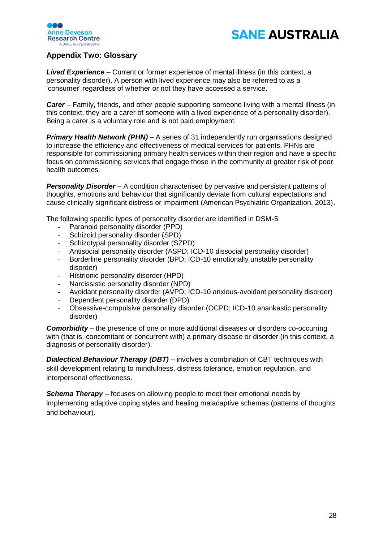



## <span id="page-27-0"></span>**Appendix Two: Glossary**

*Lived Experience* – Current or former experience of mental illness (in this context, a personality disorder). A person with lived experience may also be referred to as a 'consumer' regardless of whether or not they have accessed a service.

*Carer* – Family, friends, and other people supporting someone living with a mental illness (in this context, they are a carer of someone with a lived experience of a personality disorder). Being a carer is a voluntary role and is not paid employment.

*Primary Health Network (PHN) – A series of 31 independently run organisations designed* to increase the efficiency and effectiveness of medical services for patients. PHNs are responsible for commissioning primary health services within their region and have a specific focus on commissioning services that engage those in the community at greater risk of poor health outcomes.

**Personality Disorder** – A condition characterised by pervasive and persistent patterns of thoughts, emotions and behaviour that significantly deviate from cultural expectations and cause clinically significant distress or impairment (American Psychiatric Organization, 2013).

The following specific types of personality disorder are identified in DSM-5:

- Paranoid personality disorder (PPD)
- Schizoid personality disorder (SPD)
- Schizotypal personality disorder (SZPD)
- Antisocial personality disorder (ASPD; ICD-10 dissocial personality disorder)
- Borderline personality disorder (BPD; ICD-10 emotionally unstable personality disorder)
- Histrionic personality disorder (HPD)
- Narcissistic personality disorder (NPD)
- Avoidant personality disorder (AVPD; ICD-10 anxious-avoidant personality disorder)
- Dependent personality disorder (DPD)
- Obsessive-compulsive personality disorder (OCPD; ICD-10 anankastic personality disorder)

*Comorbidity* – the presence of one or more additional diseases or disorders co-occurring with (that is, concomitant or concurrent with) a primary disease or disorder (in this context, a diagnosis of personality disorder).

*Dialectical Behaviour Therapy (DBT)* – involves a combination of CBT techniques with skill development relating to mindfulness, distress tolerance, emotion regulation, and interpersonal effectiveness.

*Schema Therapy* – focuses on allowing people to meet their emotional needs by implementing adaptive coping styles and healing maladaptive schemas (patterns of thoughts and behaviour).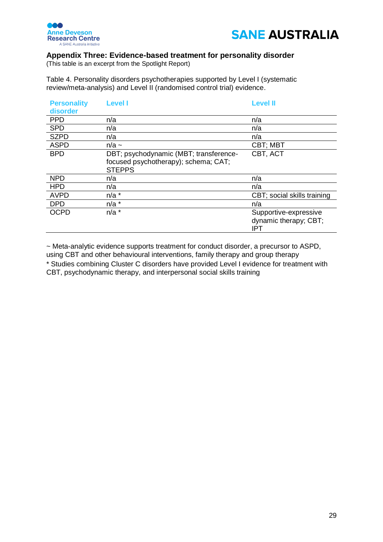



## <span id="page-28-0"></span>**Appendix Three: Evidence-based treatment for personality disorder**

(This table is an excerpt from the Spotlight Report)

Table 4. Personality disorders psychotherapies supported by Level I (systematic review/meta-analysis) and Level II (randomised control trial) evidence.

| <b>Personality</b><br>disorder | <b>Level I</b>                                                                                  | <b>Level II</b>                                       |
|--------------------------------|-------------------------------------------------------------------------------------------------|-------------------------------------------------------|
| <b>PPD</b>                     | n/a                                                                                             | n/a                                                   |
| <b>SPD</b>                     | n/a                                                                                             | n/a                                                   |
| <b>SZPD</b>                    | n/a                                                                                             | n/a                                                   |
| <b>ASPD</b>                    | $n/a \sim$                                                                                      | <b>CBT; MBT</b>                                       |
| <b>BPD</b>                     | DBT; psychodynamic (MBT; transference-<br>focused psychotherapy); schema; CAT;<br><b>STEPPS</b> | CBT, ACT                                              |
| <b>NPD</b>                     | n/a                                                                                             | n/a                                                   |
| <b>HPD</b>                     | n/a                                                                                             | n/a                                                   |
| <b>AVPD</b>                    | $n/a$ *                                                                                         | CBT; social skills training                           |
| <b>DPD</b>                     | $n/a$ *                                                                                         | n/a                                                   |
| <b>OCPD</b>                    | $n/a$ *                                                                                         | Supportive-expressive<br>dynamic therapy; CBT;<br>IPT |

~ Meta-analytic evidence supports treatment for conduct disorder, a precursor to ASPD, using CBT and other behavioural interventions, family therapy and group therapy \* Studies combining Cluster C disorders have provided Level I evidence for treatment with CBT, psychodynamic therapy, and interpersonal social skills training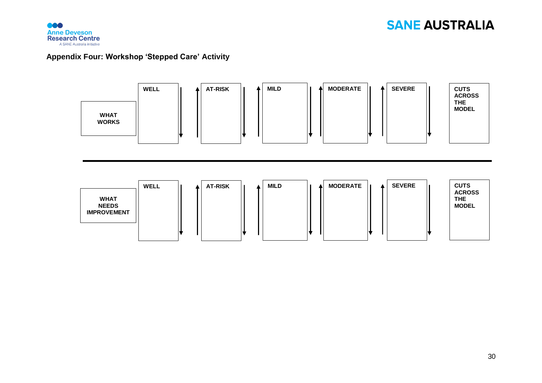

## **Appendix Four: Workshop 'Stepped Care' Activity**

<span id="page-29-0"></span>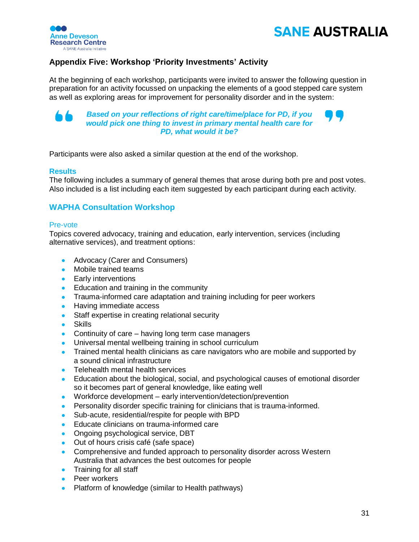



## **Appendix Five: Workshop 'Priority Investments' Activity**

<span id="page-30-0"></span>At the beginning of each workshop, participants were invited to answer the following question in preparation for an activity focussed on unpacking the elements of a good stepped care system as well as exploring areas for improvement for personality disorder and in the system:



*Based on your reflections of right care/time/place for PD, if you would pick one thing to invest in primary mental health care for PD, what would it be?*



Participants were also asked a similar question at the end of the workshop.

### **Results**

The following includes a summary of general themes that arose during both pre and post votes. Also included is a list including each item suggested by each participant during each activity.

## **WAPHA Consultation Workshop**

#### Pre-vote

Topics covered advocacy, training and education, early intervention, services (including alternative services), and treatment options:

- Advocacy (Carer and Consumers)
- Mobile trained teams
- Early interventions
- Education and training in the community
- Trauma-informed care adaptation and training including for peer workers
- Having immediate access
- Staff expertise in creating relational security
- Skills
- Continuity of care having long term case managers
- Universal mental wellbeing training in school curriculum
- Trained mental health clinicians as care navigators who are mobile and supported by a sound clinical infrastructure
- Telehealth mental health services
- Education about the biological, social, and psychological causes of emotional disorder so it becomes part of general knowledge, like eating well
- Workforce development early intervention/detection/prevention
- Personality disorder specific training for clinicians that is trauma-informed.
- Sub-acute, residential/respite for people with BPD
- Educate clinicians on trauma-informed care
- Ongoing psychological service, DBT
- Out of hours crisis café (safe space)
- Comprehensive and funded approach to personality disorder across Western Australia that advances the best outcomes for people
- Training for all staff
- Peer workers
- Platform of knowledge (similar to Health pathways)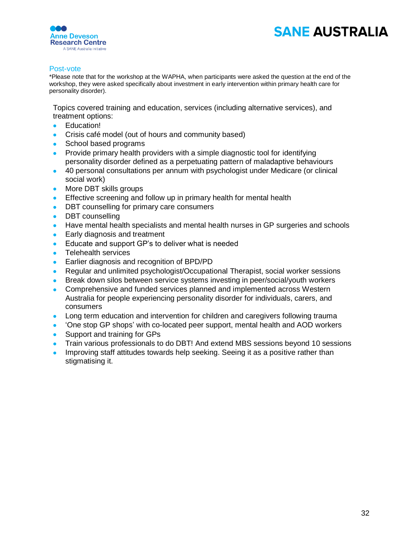

#### Post-vote

\*Please note that for the workshop at the WAPHA, when participants were asked the question at the end of the workshop, they were asked specifically about investment in early intervention within primary health care for personality disorder).

Topics covered training and education, services (including alternative services), and treatment options:

- Education!
- Crisis café model (out of hours and community based)
- School based programs
- Provide primary health providers with a simple diagnostic tool for identifying personality disorder defined as a perpetuating pattern of maladaptive behaviours
- 40 personal consultations per annum with psychologist under Medicare (or clinical social work)
- More DBT skills groups
- Effective screening and follow up in primary health for mental health
- DBT counselling for primary care consumers
- DBT counselling
- Have mental health specialists and mental health nurses in GP surgeries and schools
- Early diagnosis and treatment
- Educate and support GP's to deliver what is needed
- Telehealth services
- Earlier diagnosis and recognition of BPD/PD
- Regular and unlimited psychologist/Occupational Therapist, social worker sessions
- Break down silos between service systems investing in peer/social/youth workers
- Comprehensive and funded services planned and implemented across Western Australia for people experiencing personality disorder for individuals, carers, and consumers
- Long term education and intervention for children and caregivers following trauma
- 'One stop GP shops' with co-located peer support, mental health and AOD workers
- Support and training for GPs
- Train various professionals to do DBT! And extend MBS sessions beyond 10 sessions
- Improving staff attitudes towards help seeking. Seeing it as a positive rather than stigmatising it.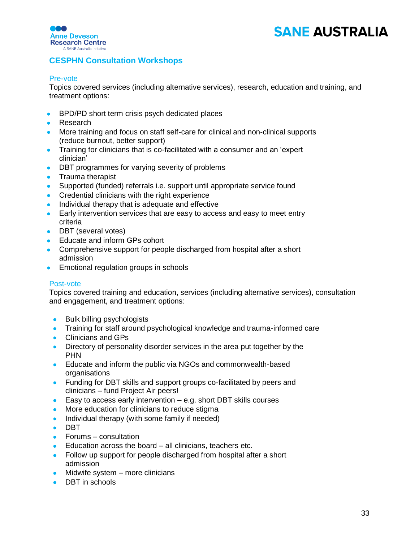

## **CESPHN Consultation Workshops**

### Pre-vote

Topics covered services (including alternative services), research, education and training, and treatment options:

- BPD/PD short term crisis psych dedicated places
- Research
- More training and focus on staff self-care for clinical and non-clinical supports (reduce burnout, better support)
- Training for clinicians that is co-facilitated with a consumer and an 'expert clinician'
- DBT programmes for varying severity of problems
- Trauma therapist
- Supported (funded) referrals i.e. support until appropriate service found
- Credential clinicians with the right experience
- Individual therapy that is adequate and effective
- Early intervention services that are easy to access and easy to meet entry criteria
- DBT (several votes)
- Educate and inform GPs cohort
- Comprehensive support for people discharged from hospital after a short admission
- Emotional regulation groups in schools

### Post-vote

Topics covered training and education, services (including alternative services), consultation and engagement, and treatment options:

- Bulk billing psychologists
- Training for staff around psychological knowledge and trauma-informed care
- Clinicians and GPs
- Directory of personality disorder services in the area put together by the PHN
- Educate and inform the public via NGOs and commonwealth-based organisations
- Funding for DBT skills and support groups co-facilitated by peers and clinicians – fund Project Air peers!
- Easy to access early intervention  $-$  e.g. short DBT skills courses
- More education for clinicians to reduce stigma
- Individual therapy (with some family if needed)
- DBT
- Forums consultation
- Education across the board all clinicians, teachers etc.
- Follow up support for people discharged from hospital after a short admission
- Midwife system more clinicians
- DBT in schools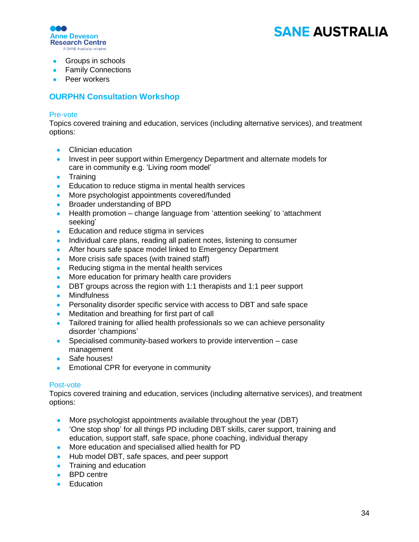

- Groups in schools
- Family Connections
- Peer workers

## **OURPHN Consultation Workshop**

### Pre-vote

Topics covered training and education, services (including alternative services), and treatment options:

- Clinician education
- Invest in peer support within Emergency Department and alternate models for care in community e.g. 'Living room model'
- Training
- Education to reduce stigma in mental health services
- More psychologist appointments covered/funded
- Broader understanding of BPD
- Health promotion change language from 'attention seeking' to 'attachment seeking'
- Education and reduce stigma in services
- Individual care plans, reading all patient notes, listening to consumer
- After hours safe space model linked to Emergency Department
- More crisis safe spaces (with trained staff)
- Reducing stigma in the mental health services
- More education for primary health care providers
- DBT groups across the region with 1:1 therapists and 1:1 peer support
- Mindfulness
- Personality disorder specific service with access to DBT and safe space
- Meditation and breathing for first part of call
- Tailored training for allied health professionals so we can achieve personality disorder 'champions'
- Specialised community-based workers to provide intervention case management
- Safe houses!
- Emotional CPR for everyone in community

### Post-vote

Topics covered training and education, services (including alternative services), and treatment options:

- More psychologist appointments available throughout the year (DBT)
- 'One stop shop' for all things PD including DBT skills, carer support, training and education, support staff, safe space, phone coaching, individual therapy
- More education and specialised allied health for PD
- Hub model DBT, safe spaces, and peer support
- Training and education
- BPD centre
- Education